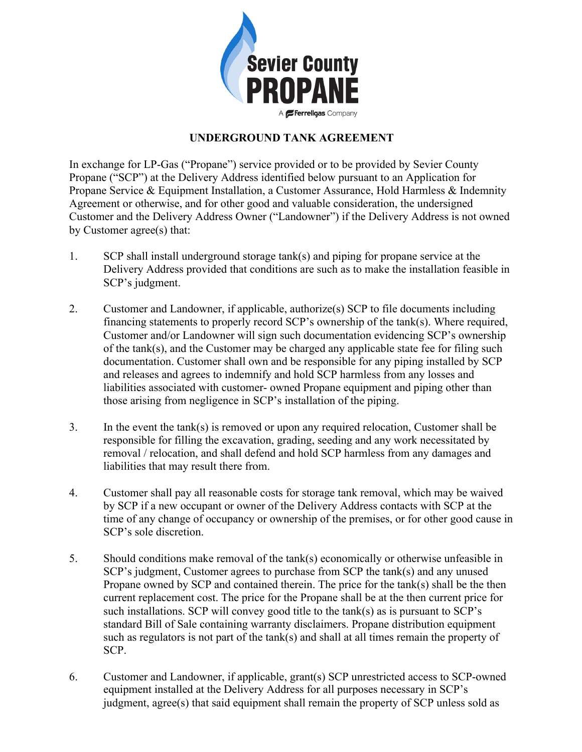

## **UNDERGROUND TANK AGREEMENT**

In exchange for LP-Gas ("Propane") service provided or to be provided by Sevier County Propane ("SCP") at the Delivery Address identified below pursuant to an Application for Propane Service & Equipment Installation, a Customer Assurance, Hold Harmless & Indemnity Agreement or otherwise, and for other good and valuable consideration, the undersigned Customer and the Delivery Address Owner ("Landowner") if the Delivery Address is not owned by Customer agree(s) that:

- 1. SCP shall install underground storage tank(s) and piping for propane service at the Delivery Address provided that conditions are such as to make the installation feasible in SCP's judgment.
- 2. Customer and Landowner, if applicable, authorize(s) SCP to file documents including financing statements to properly record SCP's ownership of the tank(s). Where required, Customer and/or Landowner will sign such documentation evidencing SCP's ownership of the tank(s), and the Customer may be charged any applicable state fee for filing such documentation. Customer shall own and be responsible for any piping installed by SCP and releases and agrees to indemnify and hold SCP harmless from any losses and liabilities associated with customer- owned Propane equipment and piping other than those arising from negligence in SCP's installation of the piping.
- 3. In the event the tank(s) is removed or upon any required relocation, Customer shall be responsible for filling the excavation, grading, seeding and any work necessitated by removal / relocation, and shall defend and hold SCP harmless from any damages and liabilities that may result there from.
- 4. Customer shall pay all reasonable costs for storage tank removal, which may be waived by SCP if a new occupant or owner of the Delivery Address contacts with SCP at the time of any change of occupancy or ownership of the premises, or for other good cause in SCP's sole discretion.
- 5. Should conditions make removal of the tank(s) economically or otherwise unfeasible in SCP's judgment, Customer agrees to purchase from SCP the tank(s) and any unused Propane owned by SCP and contained therein. The price for the tank(s) shall be the then current replacement cost. The price for the Propane shall be at the then current price for such installations. SCP will convey good title to the tank(s) as is pursuant to SCP's standard Bill of Sale containing warranty disclaimers. Propane distribution equipment such as regulators is not part of the tank(s) and shall at all times remain the property of SCP.
- 6. Customer and Landowner, if applicable, grant(s) SCP unrestricted access to SCP-owned equipment installed at the Delivery Address for all purposes necessary in SCP's judgment, agree(s) that said equipment shall remain the property of SCP unless sold as